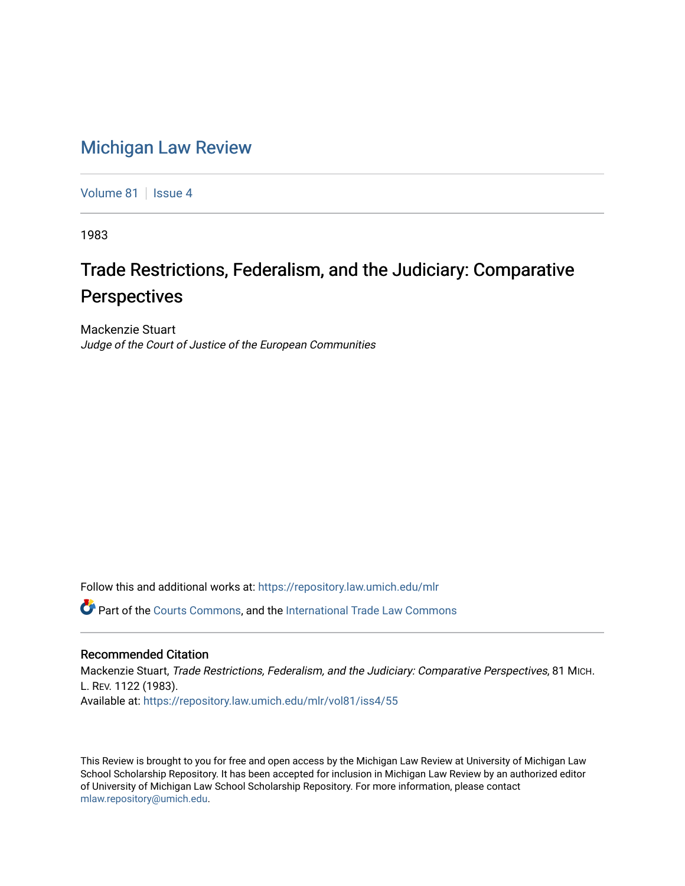## [Michigan Law Review](https://repository.law.umich.edu/mlr)

[Volume 81](https://repository.law.umich.edu/mlr/vol81) | [Issue 4](https://repository.law.umich.edu/mlr/vol81/iss4)

1983

# Trade Restrictions, Federalism, and the Judiciary: Comparative **Perspectives**

Mackenzie Stuart Judge of the Court of Justice of the European Communities

Follow this and additional works at: [https://repository.law.umich.edu/mlr](https://repository.law.umich.edu/mlr?utm_source=repository.law.umich.edu%2Fmlr%2Fvol81%2Fiss4%2F55&utm_medium=PDF&utm_campaign=PDFCoverPages) 

Part of the [Courts Commons,](http://network.bepress.com/hgg/discipline/839?utm_source=repository.law.umich.edu%2Fmlr%2Fvol81%2Fiss4%2F55&utm_medium=PDF&utm_campaign=PDFCoverPages) and the [International Trade Law Commons](http://network.bepress.com/hgg/discipline/848?utm_source=repository.law.umich.edu%2Fmlr%2Fvol81%2Fiss4%2F55&utm_medium=PDF&utm_campaign=PDFCoverPages) 

### Recommended Citation

Mackenzie Stuart, Trade Restrictions, Federalism, and the Judiciary: Comparative Perspectives, 81 MICH. L. REV. 1122 (1983). Available at: [https://repository.law.umich.edu/mlr/vol81/iss4/55](https://repository.law.umich.edu/mlr/vol81/iss4/55?utm_source=repository.law.umich.edu%2Fmlr%2Fvol81%2Fiss4%2F55&utm_medium=PDF&utm_campaign=PDFCoverPages) 

This Review is brought to you for free and open access by the Michigan Law Review at University of Michigan Law School Scholarship Repository. It has been accepted for inclusion in Michigan Law Review by an authorized editor of University of Michigan Law School Scholarship Repository. For more information, please contact [mlaw.repository@umich.edu.](mailto:mlaw.repository@umich.edu)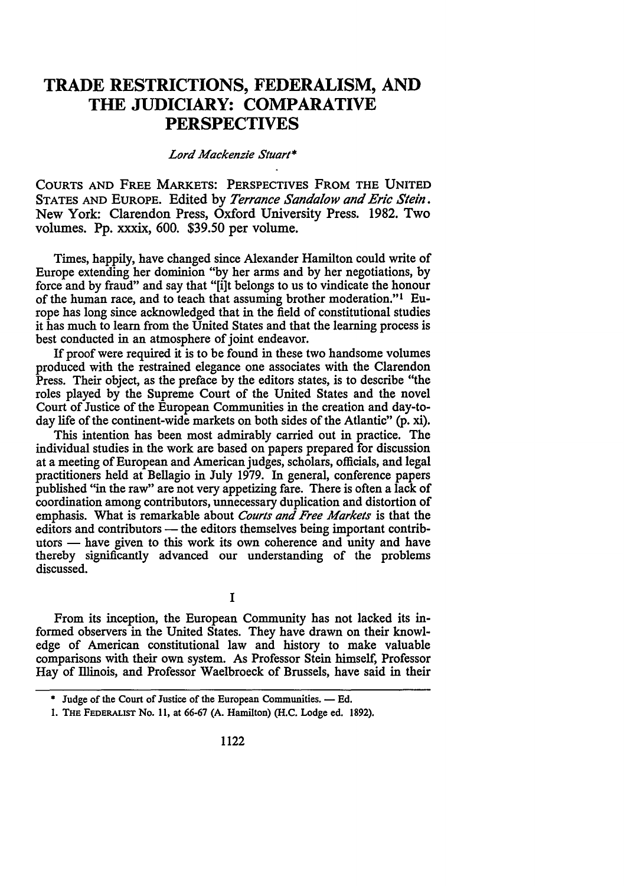### **TRADE RESTRICTIONS, FEDERALISM, AND THE JUDICIARY: COMPARATIVE PERSPECTIVES**

*Lord Mackenzie Stuart\** 

COURTS AND FREE MARKETS: PERSPECTIVES FROM THE UNITED STATES AND EUROPE. Edited by *Terrance Sanda/ow and Eric Stein.*  New York: Clarendon Press, Oxford University Press. 1982. Two volumes. Pp. xxxix, 600. \$39.50 per volume.

Times, happily, have changed since Alexander Hamilton could write of Europe extending her dominion "by her arms and by her negotiations, by force and by fraud" and say that "[i]t belongs to us to vindicate the honour of the human race, and to teach that assuming brother moderation."<sup>1</sup> Europe has long since acknowledged that in the field of constitutional studies it has much to learn from the United States and that the learning process is best conducted in an atmosphere of joint endeavor.

If proof were required it is to be found in these two handsome volumes produced with the restrained elegance one associates with the Clarendon Press. Their object, as the preface by the editors states, is to describe "the roles played by the Supreme Court of the United States and the novel Court of Justice of the European Communities in the creation and day-today life of the continent-wide markets on both sides of the Atlantic" (p. xi).

This intention has been most admirably carried out in practice. The individual studies in the work are based on papers prepared for discussion at a meeting of European and American judges, scholars, officials, and legal practitioners held at Bellagio in July 1979. In general, conference papers published "in the raw" are not very appetizing fare. There is often a lack of coordination among contributors, unnecessary duplication and distortion of emphasis. What is remarkable about *Courts and Free Markets* is that the editors and contributors — the editors themselves being important contributors — have given to this work its own coherence and unity and have thereby significantly advanced our understanding of the problems discussed.

I

From its inception, the European Community has not lacked its informed observers in the United States. They have drawn on their knowledge of American constitutional law and history to make valuable comparisons with their own system. As Professor Stein himself, Professor Hay of Illinois, and Professor Waelbroeck of Brussels, have said in their

<sup>\*</sup> Judge of the Court of Justice of the European Communities. - Ed.

<sup>1.</sup> THE FEDERALIST No. 11, at 66-67 (A. Hamilton) (H.C. Lodge ed. 1892).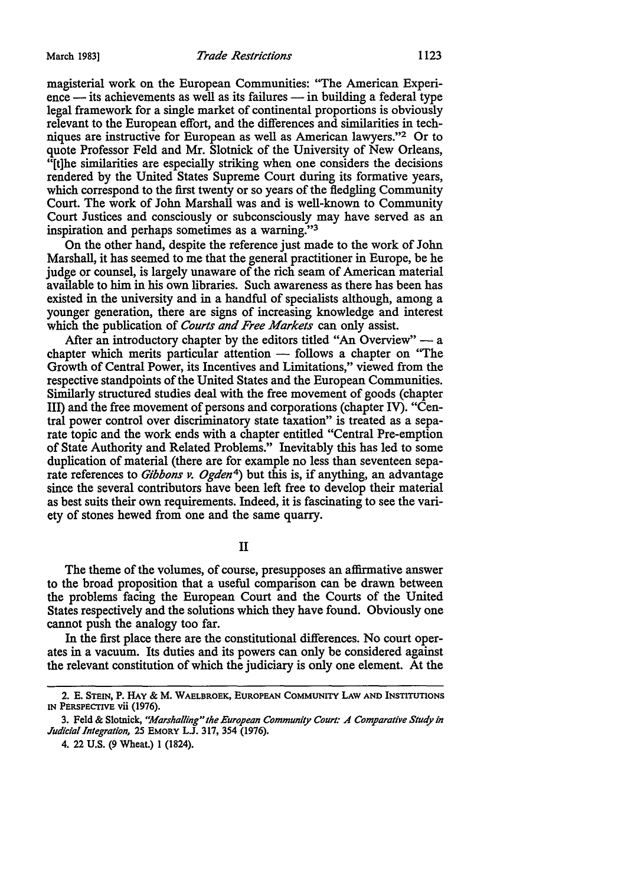magisterial work on the European Communities: ''The American Experi- $\epsilon$  ence — its achievements as well as its failures — in building a federal type legal framework for a single market of continental proportions is obviously relevant to the European effort, and the differences and similarities in techniques are instructive for European as well as American lawyers."<sup>2</sup> Or to quote Professor Feld and Mr. Slotnick of the University of New Orleans, "[t]he similarities are especially striking when one considers the decisions rendered by the United States Supreme Court during its formative years, which correspond to the first twenty or so years of the fledgling Community Court. The work of John Marshall was and is well-known to Community Court Justices and consciously or subconsciously may have served as an inspiration and perhaps sometimes as a warning."<sup>3</sup>

On the other hand, despite the reference just made to the work of John Marshall, it has seemed to me that the general practitioner in Europe, be he judge or counsel, is largely unaware of the rich seam of American material available to him in his own libraries. Such awareness as there has been has existed in the university and in a handful of specialists although, among a younger generation, there are signs of increasing knowledge and interest which the publication of *Courts and Free Markets* can only assist.

After an introductory chapter by the editors titled "An Overview"  $- a$ chapter which merits particular attention  $-$  follows a chapter on "The Growth of Central Power, its Incentives and Limitations," viewed from the respective standpoints of the United States and the European Communities. Similarly structured studies deal with the free movement of goods ( chapter III) and the free movement of persons and corporations (chapter IV). "Central power control over discriminatory state taxation" is treated as a separate topic and the work ends with a chapter entitled "Central Pre-emption of State Authority and Related Problems." Inevitably this has led to some duplication of material (there are for example no less than seventeen separate references to *Gibbons v. Ogden*<sup>4</sup>) but this is, if anything, an advantage since the several contributors have been left free to develop their material as best suits their own requirements. Indeed, it is fascinating to see the variety of stones hewed from one and the same quarry.

II

The theme of the volumes, of course, presupposes an affirmative answer to the broad proposition that a useful comparison can be drawn between the problems facing the European Court and the Courts of the United States respectively and the solutions which they have found. Obviously one cannot push the analogy too far.

In the first place there are the constitutional differences. No court operates in a vacuum. Its duties and its powers can only be considered against the relevant constitution of which the judiciary is only one element. At the

<sup>2.</sup> E. STEIN, P. HAY & M. WAELBROEK, EUROPEAN COMMUNITY LAW AND INSTITUTIONS IN PERSPECTIVE vii (1976).

<sup>3.</sup> Feld & Slotnick, *"Marshalling" the European Community Court: A Comparative Study in Judicial Integration,* 25 EMORY LJ. 317, 354 (1976).

<sup>4. 22</sup> U.S. (9 Wheat.) 1 (1824).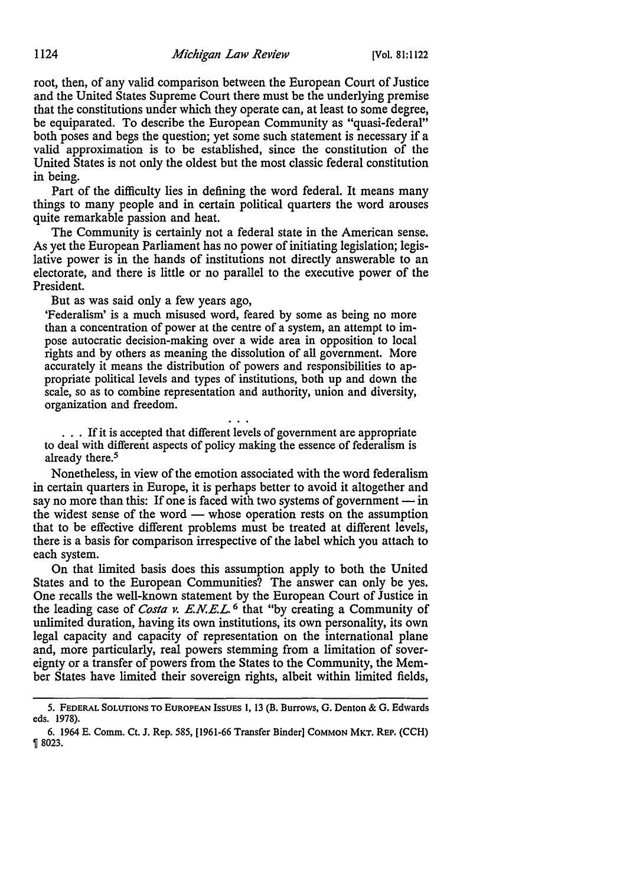root, then, of any valid comparison between the European Court of Justice and the United States Supreme Court there must be the underlying premise that the constitutions under which they operate can, at least to some degree, be equiparated. To describe the European Community as "quasi-federal" both poses and begs the question; yet some such statement is necessary if a valid approximation is to be established, since the constitution of the United States is not only the oldest but the most classic federal constitution in being.

Part of the difficulty lies in defining the word federal. It means many things to many people and *in* certain political quarters the word arouses quite remarkable passion and heat.

The Community is certainly not a federal state in the American sense. As yet the European Parliament has no power of initiating legislation; legislative power is in the hands of institutions not directly answerable to an electorate, and there is little or no parallel to the executive power of the President.

But as was said only a few years ago,

'Federalism' is a much misused word, feared by some as being no more than a concentration of power at the centre of a system, an attempt to impose autocratic decision-making over a wide area in opposition to local rights and by others as meaning the dissolution of all government. More accurately it means the distribution of powers and responsibilities to appropriate political levels and types of institutions, both up and down the scale, so as to combine representation and authority, union and diversity, organization and freedom.

. . . If it is accepted that different levels of government are appropriate to deal with different aspects of policy making the essence of federalism is already there.<sup>5</sup>

Nonetheless, in view of the emotion associated with the word federalism in certain quarters in Europe, it is perhaps better to avoid it altogether and say no more than this: If one is faced with two systems of government  $-\text{in}$ the widest sense of the word — whose operation rests on the assumption that to be effective different problems must be treated at different levels, there is a basis for comparison irrespective of the label which you attach to each system.

On that limited basis does this assumption apply to both the United States and to the European Communities? The answer can only be yes. One recalls the well-known statement by the European Court of Justice in the leading case of *Costa v. E.N.E.L.*<sup>6</sup> that "by creating a Community of unlimited duration, having its own institutions, its own personality, its own legal capacity and capacity of representation on the international plane and, more particularly, real powers stemming from a limitation of sovereignty or a transfer of powers from the States to the Community, the Member States have limited their sovereign rights, albeit within limited fields,

<sup>5.</sup> FEDERAL SOLUTIONS TO EUROPEAN ISSUES I, 13 (B. Burrows, G. Denton & G. Edwards eds. 1978).

<sup>6. 1964</sup> E. Comm. Ct. J. Rep. 585, [1961-66 Transfer Binder] COMMON MKT. REP. (CCH) ~ 8023.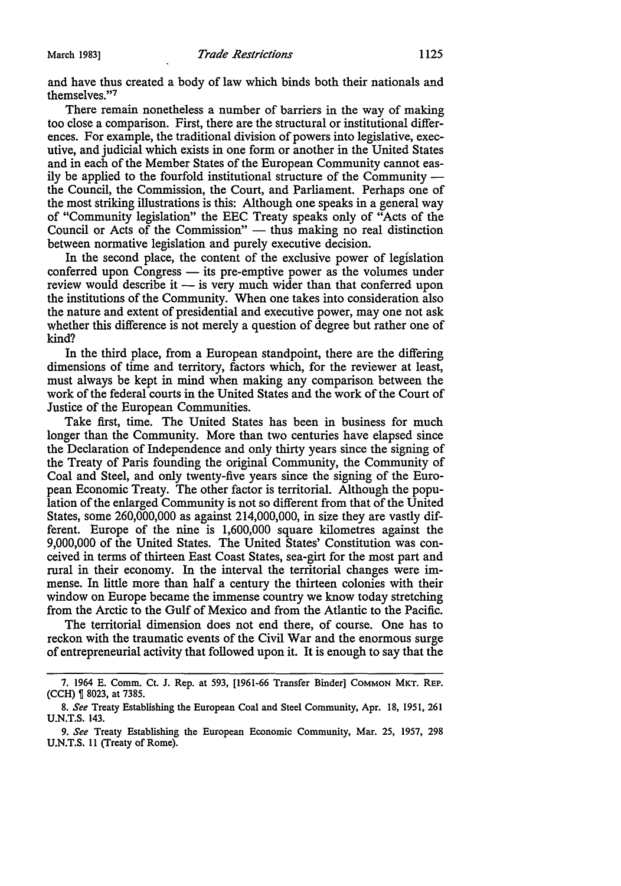and have thus created a body of law which binds both their nationals and themselves."7

There remain nonetheless a number of barriers in the way of making too close a comparison. First, there are the structural or institutional differences. For example, the traditional division of powers into legislative, executive, and judicial which exists in one form or another in the United States and in each of the Member States of the European Community cannot easily be applied to the fourfold institutional structure of the Community the Council, the Commission, the Court, and Parliament. Perhaps one of the most striking illustrations is this: Although one speaks in a general way of "Community legislation" the EEC Treaty speaks only of "Acts of the Council or Acts of the Commission"  $-$  thus making no real distinction between normative legislation and purely executive decision.

In the second place, the content of the exclusive power of legislation  $conferred upon Congress — its pre-empty power as the volumes under$ review would describe it  $-$  is very much wider than that conferred upon the institutions of the Community. When one takes into consideration also the nature and extent of presidential and executive power, may one not ask whether this difference is not merely a question of degree but rather one of kind?

In the third place, from a European standpoint, there are the differing dimensions of time and territory, factors which, for the reviewer at least, must always be kept in mind when making any comparison between the work of the federal courts in the United States and the work of the Court of Justice of the European Communities.

Take first, time. The United States has been in business for much longer than the Community. More than two centuries have elapsed since the Declaration of Independence and only thirty years since the signing of the Treaty of Paris founding the original Community, the Community of Coal and Steel, and only twenty-five years since the signing of the European Economic Treaty. The other factor is territorial. Although the population of the enlarged Community is not so different from that of the United States, some 260,000,000 as against 214,000,000, in size they are vastly different. Europe of the nine is 1,600,000 square kilometres against the 9,000,000 of the United States. The United States' Constitution was conceived in terms of thirteen East Coast States, sea-girt for the most part and rural in their economy. In the interval the territorial changes were immense. In little more than half a century the thirteen colonies with their window on Europe became the immense country we know today stretching from the Arctic to the Gulf of Mexico and from the Atlantic to the Pacific.

The territorial dimension does not end there, of course. One has to reckon with the traumatic events of the Civil War and the enormous surge of entrepreneurial activity that followed upon it. It is enough to say that the

<sup>7. 1964</sup> E. Comm. Ct. J. Rep. at 593, (1961-66 Transfer Binder] COMMON MKT. REP. (CCH) \[ 8023, at 7385.

<sup>8.</sup> *See* Treaty Establishing the European Coal and Steel Community, Apr. 18, 1951, 261 U.N.T.S. 143.

<sup>9.</sup> *See* Treaty Establishing the European Economic Community, Mar. 25, 1957, 298 U.N.T.S. 11 (Treaty of Rome).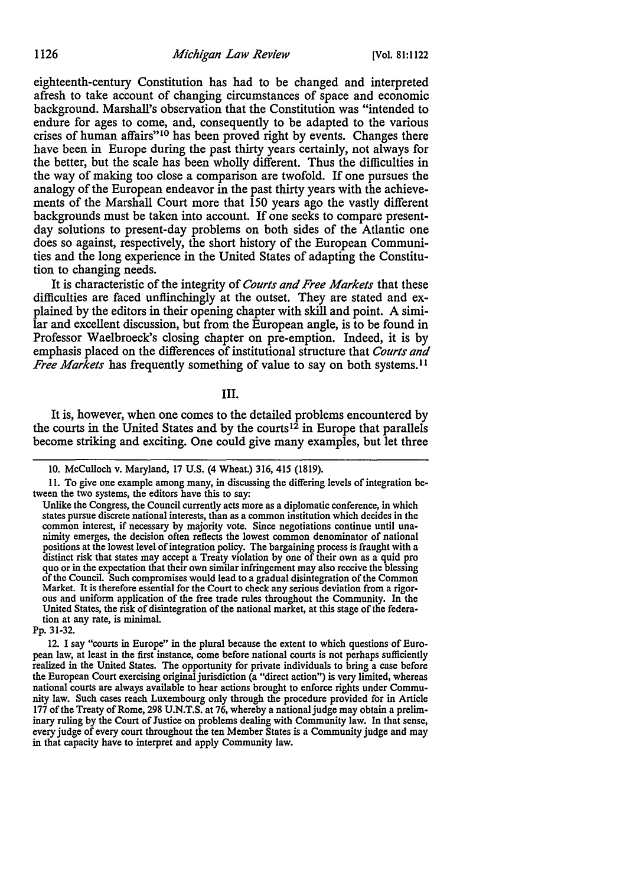eighteenth-century Constitution has had to be changed and interpreted afresh to take account of changing circumstances of space and economic background. Marshall's observation that the Constitution was "intended to endure for ages to come, and, consequently to be adapted to the various crises of human affairs"<sup>10</sup> has been proved right by events. Changes there have been in Europe during the past thirty years certainly, not always for the better, but the scale has been wholly different. Thus the difficulties in the way of making too close a comparison are twofold. If one pursues the analogy of the European endeavor in the past thirty years with the achievements of the Marshall Court more that 150 years ago the vastly different backgrounds must be taken into account. If one seeks to compare presentday solutions to present-day problems on both sides of the Atlantic one does so against, respectively, the short history of the European Communities and the long experience in the United States of adapting the Constitution to changing needs.

It is characteristic of the integrity of *Courts and Free Markets* that these difficulties are faced unflinchingly at the outset. They are stated and explained by the editors in their opening chapter with skill and point. A similar and excellent discussion, but from the European angle, is to be found in Professor Waelbroeck's closing chapter on pre-emption. Indeed, it is by emphasis placed on the differences of institutional structure that *Courts and Free Markets* has frequently something of value to say on both systems.<sup>11</sup>

### III.

It is, however, when one comes to the detailed problems encountered by the courts in the United States and by the courts<sup>12</sup> in Europe that parallels become striking and exciting. One could give many examples, but let three

Pp. 31-32.

<sup>10.</sup> McCulloch v. Maryland, 17 U.S. (4 Wheat.) 316, 415 (1819).

<sup>11.</sup> To give one example among many, in discussing the differing levels of integration between the two systems, the editors have this to say:

Unlike the Congress, the Council currently acts more as a diplomatic conference, in which states pursue discrete national interests, than as a common institution which decides in the common interest, if necessary by majority vote. Since negotiations continue until unanimity emerges, the decision often reflects the lowest common denominator of national positions at the lowest level of integration policy. The bargaining process is fraught with a distinct risk that states may accept a Treaty violation by one of their own as a quid pro quo or in the expectation that their own similar infringement may also receive the blessing of the Council. Such compromises would lead to a gradual disintegration of the Common Market. It is therefore essential for the Court to check any serious deviation from a rigor- ous and uniform application of the free trade rules throughout the Community. In the United States, the risk of disintegration of the national market, at this stage of the federation at any rate, is minimal.

<sup>12.</sup> I say "courts in Europe" in the plural because the extent to which questions of European law, at least in the first instance, come before national courts is not perhaps sufficiently realized in the United States. The opportunity for private individuals to bring a case before the European Court exercising original jurisdiction (a "direct action") is very limited, whereas national courts are always available to hear actions brought to enforce rights under Community law. Such cases reach Luxembourg only through the procedure provided for in Article 177 of the Treaty of Rome, 298 U.N.T.S. at 76, whereby a national judge may obtain a preliminary ruling by the Court of Justice on problems dealing with Community law. In that sense, every judge of every court throughout the ten Member States is a Community judge and may in that capacity have to interpret and apply Community law.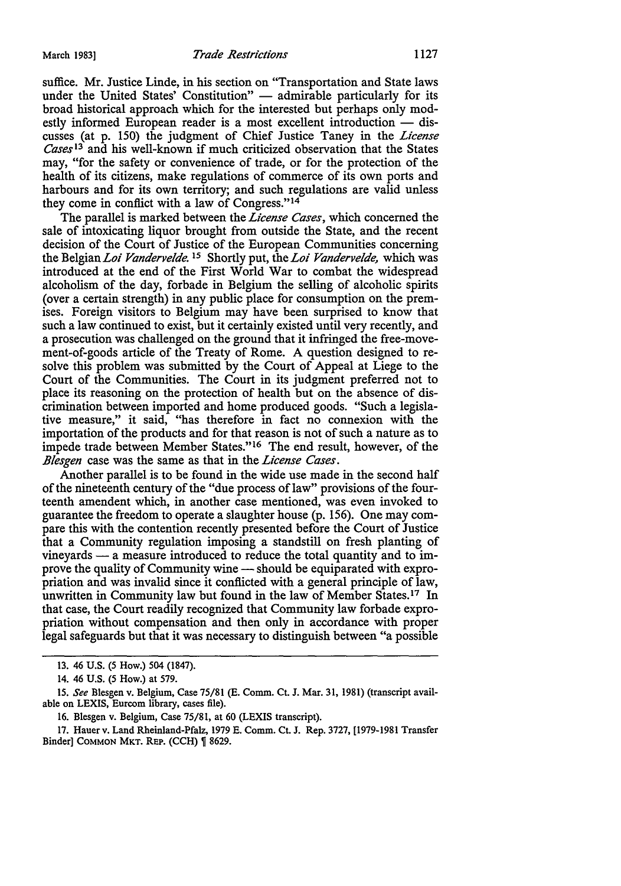suffice. Mr. Justice Linde, in his section on "Transportation and State laws under the United States' Constitution"  $-$  admirable particularly for its broad historical approach which for the interested but perhaps only modestly informed European reader is a most excellent introduction  $-$  discusses (at p. 150) the judgment of Chief Justice Taney in the *License Cases* <sup>13</sup>and his well-known if much criticized observation that the States may, "for the safety or convenience of trade, or for the protection of the health of its citizens, make regulations of commerce of its own ports and harbours and for its own territory; and such regulations are valid unless they come in conflict with a law of Congress."14

The parallel is marked between the *License Cases,* which concerned the sale of intoxicating liquor brought from outside the State, and the recent decision of the Court of Justice of the European Communities concerning the Belgian *Loi Vandervelde.* 15 Shortly put, the *Loi Vandervelde,* which was introduced at the end of the First World War to combat the widespread alcoholism of the day, forbade in Belgium the selling of alcoholic spirits (over a certain strength) in any public place for consumption on the premises. Foreign visitors to Belgium may have been surprised to know that such a law continued to exist, but it certainly existed until very recently, and a prosecution was challenged on the ground that it infringed the free-movement-of-goods article of the Treaty of Rome. A question designed to resolve this problem was submitted by the Court of Appeal at Liege to the Court of the Communities. The Court in its judgment preferred not to place its reasoning on the protection of health but on the absence of discrimination between imported and home produced goods. "Such a legislative measure," it said, "has therefore in fact no connexion with the importation of the products and for that reason is not of such a nature as to impede trade between Member States." 16 The end result, however, of the *.B!esgen* case was the same as that in the *License Cases.* 

Another parallel is to be found in the wide use made in the second half of the nineteenth century of the "due process of law" provisions of the fourteenth amendent which, in another case mentioned, was even invoked to guarantee the freedom to operate a slaughter house (p. 156). One may compare this with the contention recently presented before the Court of Justice that a Community regulation imposing a standstill on fresh planting of vineyards  $-$  a measure introduced to reduce the total quantity and to improve the quality of Community wine - should be equiparated with expropriation and was invalid since it conflicted with a general principle of law, unwritten in Community law but found in the law of Member States.17 In that case, the Court readily recognized that Community law forbade expropriation without compensation and then only in accordance with proper legal safeguards but that it was necessary to distinguish between "a possible

15. *See* Blesgen v. Belgium, Case 75/81 (E. Comm. Ct. J. Mar. 31, 1981) (transcript available on LEXIS, Eurcom library, cases file).

16. Blesgen v. Belgium, Case 75/81, at 60 (LEXIS transcript).

17. Hauer v. Land Rheinland-Pfalz, 1979 E. Comm. Ct. J. Rep. 3727, (1979-1981 Transfer Binder] COMMON MKT. REP. (CCH) [ 8629.

<sup>13. 46</sup> U.S. (5 How.) 504 (1847).

<sup>14. 46</sup> U.S. (5 How.) at 579.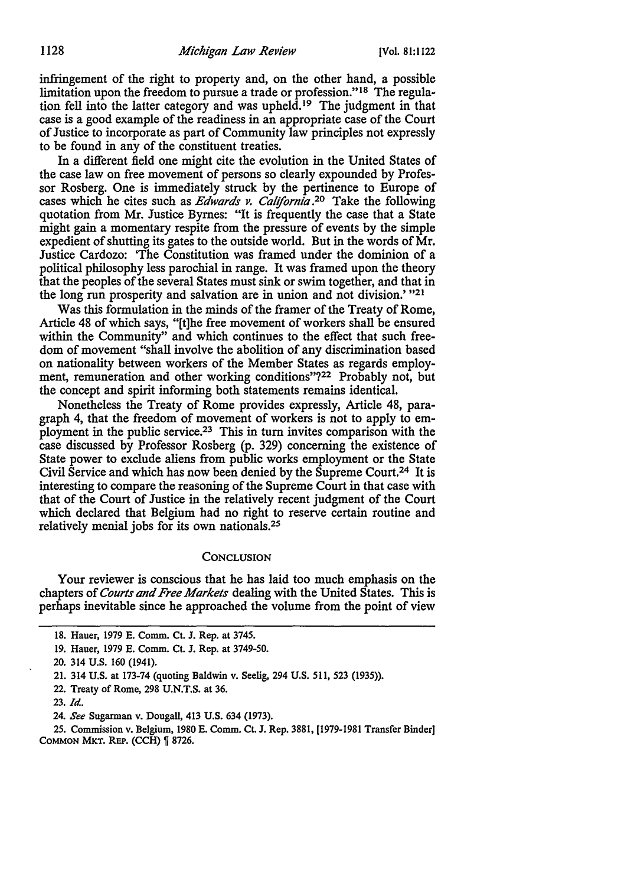infringement of the right to property and, on the other hand, a possible limitation upon the freedom to pursue a trade or profession."<sup>18</sup> The regulation fell into the latter category and was upheld.<sup>19</sup> The judgment in that case is a good example of the readiness in an appropriate case of the Court of Justice to incorporate as part of Community law principles not expressly to be found in any of the constituent treaties.

In a different field one might cite the evolution in the United States of the case law on free movement of persons so clearly expounded by Profes• sor Rosberg. One is immediately struck by the pertinence to Europe of cases which he cites such as *Edwards v. California* . 20 Take the following quotation from Mr. Justice Byrnes: "It is frequently the case that a State might gain a momentary respite from the pressure of events by the simple expedient of shutting its gates to the outside world. But in the words of Mr. Justice Cardozo: 'The Constitution was framed under the dominion of a political philosophy less parochial in range. It was framed upon the theory that the peoples of the several States must sink or swim together, and that in the long run prosperity and salvation are in union and not division.' "<sup>21</sup>

Was this formulation in the minds of the framer of the Treaty of Rome, Article 48 of which says, "[t]he free movement of workers shall be ensured within the Community" and which continues to the effect that such free• dom of movement "shall involve the abolition of any discrimination based on nationality between workers of the Member States as regards employ• ment, remuneration and other working conditions"?<sup>22</sup> Probably not, but the concept and spirit informing both statements remains identical.

Nonetheless the Treaty of Rome provides expressly, Article 48, para• graph 4, that the freedom of movement of workers is not to apply to em• ployment in the public service.23 This in tum invites comparison with the case discussed by Professor Rosberg (p. 329) concerning the existence of State power to exclude aliens from public works employment or the State Civil Service and which has now been denied by the Supreme Court.24 It is interesting to compare the reasoning of the Supreme Court in that case with that of the Court of Justice in the relatively recent judgment of the Court which declared that Belgium had no right to reserve certain routine and relatively menial jobs for its own nationals.25

#### **CONCLUSION**

Your reviewer is conscious that he has laid too much emphasis on the chapters of *Courts and Free Markets* dealing with the United States. This is perhaps inevitable since he approached the volume from the point of view

25. Commission v. Belgium, 1980 E. Comm. Ct. J. Rep. 3881, (1979-1981 Transfer Binder] COMMON MKT. REP.  $(CCH)$   $\llbracket$  8726.

<sup>18.</sup> Hauer, 1979 E. Comm. Ct. J. Rep. at 3745.

<sup>19.</sup> Hauer, 1979 E. Comm. Ct. J. Rep. at 3749-50.

<sup>20. 314</sup> U.S. 160 (1941).

<sup>21. 314</sup> U.S. at 173-74 (quoting Baldwin v. Seelig, 294 U.S. 511, 523 (1935)).

<sup>22.</sup> Treaty of Rome, 298 U.N.T.S. at 36.

<sup>23.</sup> *Id.* 

<sup>24.</sup> *See* Sugarman v. Dougall, 413 U.S. 634 (1973).